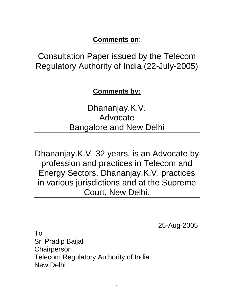# **Comments on**:

Consultation Paper issued by the Telecom Regulatory Authority of India (22-July-2005)

**Comments by:**

Dhananjay.K.V. Advocate Bangalore and New Delhi

Dhananjay.K.V, 32 years, is an Advocate by profession and practices in Telecom and Energy Sectors. Dhananjay.K.V. practices in various jurisdictions and at the Supreme Court, New Delhi.

25-Aug-2005

To Sri Pradip Baijal **Chairperson** Telecom Regulatory Authority of India New Delhi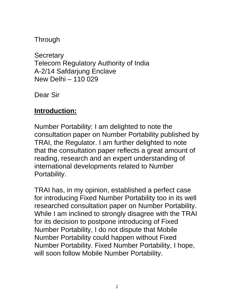**Through** 

**Secretary** Telecom Regulatory Authority of India A-2/14 Safdarjung Enclave New Delhi – 110 029

Dear Sir

# **Introduction:**

Number Portability: I am delighted to note the consultation paper on Number Portability published by TRAI, the Regulator. I am further delighted to note that the consultation paper reflects a great amount of reading, research and an expert understanding of international developments related to Number Portability.

TRAI has, in my opinion, established a perfect case for introducing Fixed Number Portability too in its well researched consultation paper on Number Portability. While I am inclined to strongly disagree with the TRAI for its decision to postpone introducing of Fixed Number Portability, I do not dispute that Mobile Number Portability could happen without Fixed Number Portability. Fixed Number Portability, I hope, will soon follow Mobile Number Portability.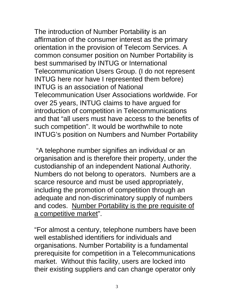The introduction of Number Portability is an affirmation of the consumer interest as the primary orientation in the provision of Telecom Services. A common consumer position on Number Portability is best summarised by INTUG or International Telecommunication Users Group. (I do not represent INTUG here nor have I represented them before) INTUG is an association of National Telecommunication User Associations worldwide. For over 25 years, INTUG claims to have argued for introduction of competition in Telecommunications and that "all users must have access to the benefits of such competition". It would be worthwhile to note INTUG's position on Numbers and Number Portability

 "A telephone number signifies an individual or an organisation and is therefore their property, under the custodianship of an independent National Authority. Numbers do not belong to operators. Numbers are a scarce resource and must be used appropriately, including the promotion of competition through an adequate and non-discriminatory supply of numbers and codes. Number Portability is the pre requisite of a competitive market".

"For almost a century, telephone numbers have been well established identifiers for individuals and organisations. Number Portability is a fundamental prerequisite for competition in a Telecommunications market. Without this facility, users are locked into their existing suppliers and can change operator only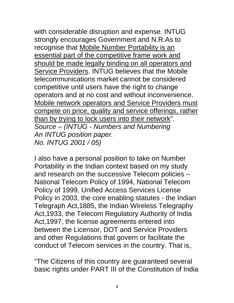with considerable disruption and expense. INTUG strongly encourages Government and N.R.As to recognise that Mobile Number Portability is an essential part of the competitive frame work and should be made legally binding on all operators and Service Providers. INTUG believes that the Mobile telecommunications market cannot be considered competitive until users have the right to change operators and at no cost and without inconvenience. Mobile network operators and Service Providers must compete on price, quality and service offerings, rather than by trying to lock users into their network". *Source – (INTUG - Numbers and Numbering An INTUG position paper. No. INTUG 2001 / 05)* 

I also have a personal position to take on Number Portability in the Indian context based on my study and research on the successive Telecom policies – National Telecom Policy of 1994, National Telecom Policy of 1999, Unified Access Services License Policy in 2003, the core enabling statutes - the Indian Telegraph Act,1885, the Indian Wireless Telegraphy Act,1933, the Telecom Regulatory Authority of India Act,1997, the license agreements entered into between the Licensor, DOT and Service Providers and other Regulations that govern or facilitate the conduct of Telecom services in the country. That is,

"The Citizens of this country are guaranteed several basic rights under PART III of the Constitution of India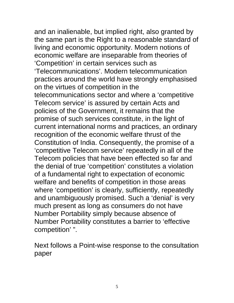and an inalienable, but implied right, also granted by the same part is the Right to a reasonable standard of living and economic opportunity. Modern notions of economic welfare are inseparable from theories of 'Competition' in certain services such as 'Telecommunications'. Modern telecommunication practices around the world have strongly emphasised on the virtues of competition in the telecommunications sector and where a 'competitive Telecom service' is assured by certain Acts and policies of the Government, it remains that the promise of such services constitute, in the light of current international norms and practices, an ordinary recognition of the economic welfare thrust of the Constitution of India. Consequently, the promise of a 'competitive Telecom service' repeatedly in all of the Telecom policies that have been effected so far and the denial of true 'competition' constitutes a violation of a fundamental right to expectation of economic welfare and benefits of competition in those areas where 'competition' is clearly, sufficiently, repeatedly and unambiguously promised. Such a 'denial' is very much present as long as consumers do not have Number Portability simply because absence of Number Portability constitutes a barrier to 'effective competition' ".

Next follows a Point-wise response to the consultation paper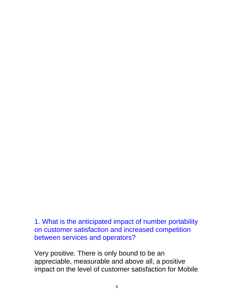1. What is the anticipated impact of number portability on customer satisfaction and increased competition between services and operators?

Very positive. There is only bound to be an appreciable, measurable and above all, a positive impact on the level of customer satisfaction for Mobile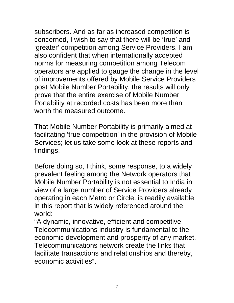subscribers. And as far as increased competition is concerned, I wish to say that there will be 'true' and 'greater' competition among Service Providers. I am also confident that when internationally accepted norms for measuring competition among Telecom operators are applied to gauge the change in the level of improvements offered by Mobile Service Providers post Mobile Number Portability, the results will only prove that the entire exercise of Mobile Number Portability at recorded costs has been more than worth the measured outcome.

That Mobile Number Portability is primarily aimed at facilitating 'true competition' in the provision of Mobile Services; let us take some look at these reports and findings.

Before doing so, I think, some response, to a widely prevalent feeling among the Network operators that Mobile Number Portability is not essential to India in view of a large number of Service Providers already operating in each Metro or Circle, is readily available in this report that is widely referenced around the world:

"A dynamic, innovative, efficient and competitive Telecommunications industry is fundamental to the economic development and prosperity of any market. Telecommunications network create the links that facilitate transactions and relationships and thereby, economic activities".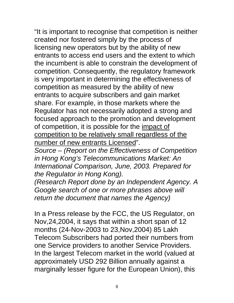"It is important to recognise that competition is neither created nor fostered simply by the process of licensing new operators but by the ability of new entrants to access end users and the extent to which the incumbent is able to constrain the development of competition. Consequently, the regulatory framework is very important in determining the effectiveness of competition as measured by the ability of new entrants to acquire subscribers and gain market share. For example, in those markets where the Regulator has not necessarily adopted a strong and focused approach to the promotion and development of competition, it is possible for the impact of competition to be relatively small regardless of the number of new entrants Licensed".

*Source – (Report on the Effectiveness of Competition in Hong Kong's Telecommunications Market: An International Comparison, June, 2003. Prepared for the Regulator in Hong Kong).* 

*(Research Report done by an Independent Agency. A Google search of one or more phrases above will return the document that names the Agency)*

In a Press release by the FCC, the US Regulator, on Nov,24,2004, it says that within a short span of 12 months (24-Nov-2003 to 23,Nov,2004) 85 Lakh Telecom Subscribers had ported their numbers from one Service providers to another Service Providers. In the largest Telecom market in the world (valued at approximately USD 292 Billion annually against a marginally lesser figure for the European Union), this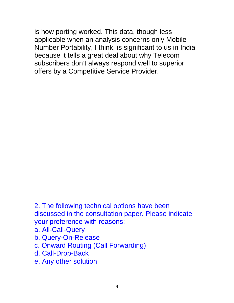is how porting worked. This data, though less applicable when an analysis concerns only Mobile Number Portability, I think, is significant to us in India because it tells a great deal about why Telecom subscribers don't always respond well to superior offers by a Competitive Service Provider.

2. The following technical options have been discussed in the consultation paper. Please indicate your preference with reasons:

- a. All-Call-Query
- b. Query-On-Release
- c. Onward Routing (Call Forwarding)
- d. Call-Drop-Back
- e. Any other solution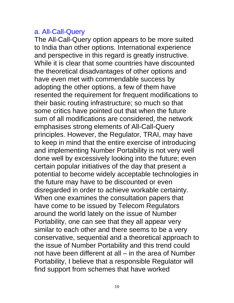#### a. All-Call-Query

The All-Call-Query option appears to be more suited to India than other options. International experience and perspective in this regard is greatly instructive. While it is clear that some countries have discounted the theoretical disadvantages of other options and have even met with commendable success by adopting the other options, a few of them have resented the requirement for frequent modifications to their basic routing infrastructure; so much so that some critics have pointed out that when the future sum of all modifications are considered, the network emphasises strong elements of All-Call-Query principles. However, the Regulator, TRAI, may have to keep in mind that the entire exercise of introducing and implementing Number Portability is not very well done well by excessively looking into the future; even certain popular initiatives of the day that present a potential to become widely acceptable technologies in the future may have to be discounted or even disregarded in order to achieve workable certainty. When one examines the consultation papers that have come to be issued by Telecom Regulators around the world lately on the issue of Number Portability, one can see that they all appear very similar to each other and there seems to be a very conservative, sequential and a theoretical approach to the issue of Number Portability and this trend could not have been different at all – in the area of Number Portability, I believe that a responsible Regulator will find support from schemes that have worked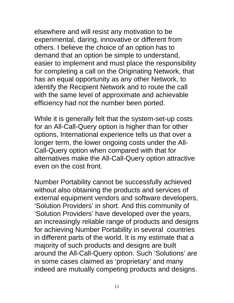elsewhere and will resist any motivation to be experimental, daring, innovative or different from others. I believe the choice of an option has to demand that an option be simple to understand, easier to implement and must place the responsibility for completing a call on the Originating Network, that has an equal opportunity as any other Network, to identify the Recipient Network and to route the call with the same level of approximate and achievable efficiency had not the number been ported.

While it is generally felt that the system-set-up costs for an All-Call-Query option is higher than for other options, International experience tells us that over a longer term, the lower ongoing costs under the All-Call-Query option when compared with that for alternatives make the All-Call-Query option attractive even on the cost front.

Number Portability cannot be successfully achieved without also obtaining the products and services of external equipment vendors and software developers, 'Solution Providers' in short. And this community of 'Solution Providers' have developed over the years, an increasingly reliable range of products and designs for achieving Number Portability in several countries in different parts of the world. It is my estimate that a majority of such products and designs are built around the All-Call-Query option. Such 'Solutions' are in some cases claimed as 'proprietary' and many indeed are mutually competing products and designs.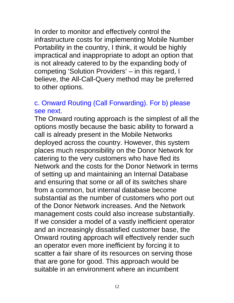In order to monitor and effectively control the infrastructure costs for implementing Mobile Number Portability in the country, I think, it would be highly impractical and inappropriate to adopt an option that is not already catered to by the expanding body of competing 'Solution Providers' – in this regard, I believe, the All-Call-Query method may be preferred to other options.

## c. Onward Routing (Call Forwarding). For b) please see next.

The Onward routing approach is the simplest of all the options mostly because the basic ability to forward a call is already present in the Mobile Networks deployed across the country. However, this system places much responsibility on the Donor Network for catering to the very customers who have fled its Network and the costs for the Donor Network in terms of setting up and maintaining an Internal Database and ensuring that some or all of its switches share from a common, but internal database become substantial as the number of customers who port out of the Donor Network increases. And the Network management costs could also increase substantially. If we consider a model of a vastly inefficient operator and an increasingly dissatisfied customer base, the Onward routing approach will effectively render such an operator even more inefficient by forcing it to scatter a fair share of its resources on serving those that are gone for good. This approach would be suitable in an environment where an incumbent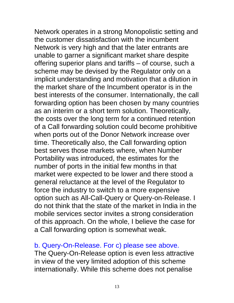Network operates in a strong Monopolistic setting and the customer dissatisfaction with the incumbent Network is very high and that the later entrants are unable to garner a significant market share despite offering superior plans and tariffs – of course, such a scheme may be devised by the Regulator only on a implicit understanding and motivation that a dilution in the market share of the Incumbent operator is in the best interests of the consumer. Internationally, the call forwarding option has been chosen by many countries as an interim or a short term solution. Theoretically, the costs over the long term for a continued retention of a Call forwarding solution could become prohibitive when ports out of the Donor Network increase over time. Theoretically also, the Call forwarding option best serves those markets where, when Number Portability was introduced, the estimates for the number of ports in the initial few months in that market were expected to be lower and there stood a general reluctance at the level of the Regulator to force the industry to switch to a more expensive option such as All-Call-Query or Query-on-Release. I do not think that the state of the market in India in the mobile services sector invites a strong consideration of this approach. On the whole, I believe the case for a Call forwarding option is somewhat weak.

#### b. Query-On-Release. For c) please see above.

The Query-On-Release option is even less attractive in view of the very limited adoption of this scheme internationally. While this scheme does not penalise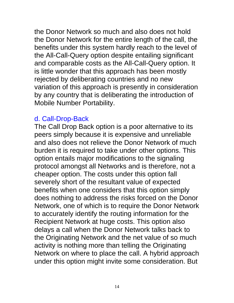the Donor Network so much and also does not hold the Donor Network for the entire length of the call, the benefits under this system hardly reach to the level of the All-Call-Query option despite entailing significant and comparable costs as the All-Call-Query option. It is little wonder that this approach has been mostly rejected by deliberating countries and no new variation of this approach is presently in consideration by any country that is deliberating the introduction of Mobile Number Portability.

#### d. Call-Drop-Back

The Call Drop Back option is a poor alternative to its peers simply because it is expensive and unreliable and also does not relieve the Donor Network of much burden it is required to take under other options. This option entails major modifications to the signaling protocol amongst all Networks and is therefore, not a cheaper option. The costs under this option fall severely short of the resultant value of expected benefits when one considers that this option simply does nothing to address the risks forced on the Donor Network, one of which is to require the Donor Network to accurately identify the routing information for the Recipient Network at huge costs. This option also delays a call when the Donor Network talks back to the Originating Network and the net value of so much activity is nothing more than telling the Originating Network on where to place the call. A hybrid approach under this option might invite some consideration. But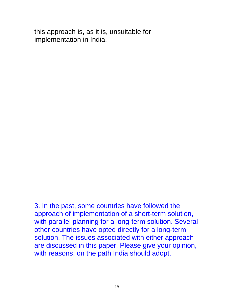this approach is, as it is, unsuitable for implementation in India.

3. In the past, some countries have followed the approach of implementation of a short-term solution, with parallel planning for a long-term solution. Several other countries have opted directly for a long-term solution. The issues associated with either approach are discussed in this paper. Please give your opinion, with reasons, on the path India should adopt.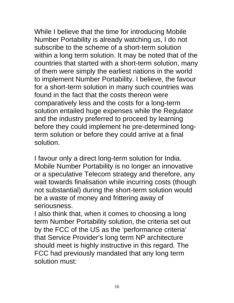While I believe that the time for introducing Mobile Number Portability is already watching us, I do not subscribe to the scheme of a short-term solution within a long term solution. It may be noted that of the countries that started with a short-term solution, many of them were simply the earliest nations in the world to implement Number Portability. I believe, the favour for a short-term solution in many such countries was found in the fact that the costs thereon were comparatively less and the costs for a long-term solution entailed huge expenses while the Regulator and the industry preferred to proceed by learning before they could implement he pre-determined longterm solution or before they could arrive at a final solution.

I favour only a direct long-term solution for India. Mobile Number Portability is no longer an innovative or a speculative Telecom strategy and therefore, any wait towards finalisation while incurring costs (though not substantial) during the short-term solution would be a waste of money and frittering away of seriousness.

I also think that, when it comes to choosing a long term Number Portability solution, the criteria set out by the FCC of the US as the 'performance criteria' that Service Provider's long term NP architecture should meet is highly instructive in this regard. The FCC had previously mandated that any long term solution must: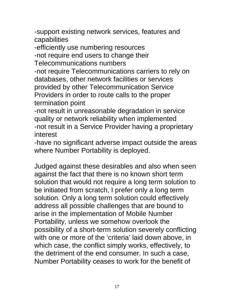-support existing network services, features and capabilities

-efficiently use numbering resources

-not require end users to change their

Telecommunications numbers

-not require Telecommunications carriers to rely on databases, other network facilities or services provided by other Telecommunication Service Providers in order to route calls to the proper termination point

-not result in unreasonable degradation in service quality or network reliability when implemented -not result in a Service Provider having a proprietary interest

-have no significant adverse impact outside the areas where Number Portability is deployed.

Judged against these desirables and also when seen against the fact that there is no known short term solution that would not require a long term solution to be initiated from scratch, I prefer only a long term solution. Only a long term solution could effectively address all possible challenges that are bound to arise in the implementation of Mobile Number Portability, unless we somehow overlook the possibility of a short-term solution severely conflicting with one or more of the 'criteria' laid down above, in which case, the conflict simply works, effectively, to the detriment of the end consumer. In such a case, Number Portability ceases to work for the benefit of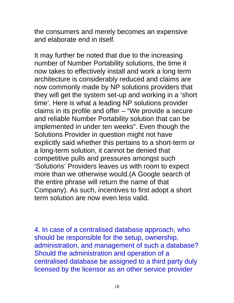the consumers and merely becomes an expensive and elaborate end in itself.

It may further be noted that due to the increasing number of Number Portability solutions, the time it now takes to effectively install and work a long term architecture is considerably reduced and claims are now commonly made by NP solutions providers that they will get the system set-up and working in a 'short time'. Here is what a leading NP solutions provider claims in its profile and offer – "We provide a secure and reliable Number Portability solution that can be implemented in under ten weeks". Even though the Solutions Provider in question might not have explicitly said whether this pertains to a short-term or a long-term solution, it cannot be denied that competitive pulls and pressures amongst such 'Solutions' Providers leaves us with room to expect more than we otherwise would.(A Google search of the entire phrase will return the name of that Company). As such, incentives to first adopt a short term solution are now even less valid.

4. In case of a centralised database approach, who should be responsible for the setup, ownership, administration, and management of such a database? Should the administration and operation of a centralised database be assigned to a third party duly licensed by the licensor as an other service provider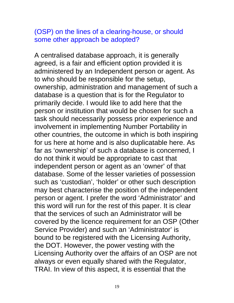# (OSP) on the lines of a clearing-house, or should some other approach be adopted?

A centralised database approach, it is generally agreed, is a fair and efficient option provided it is administered by an Independent person or agent. As to who should be responsible for the setup, ownership, administration and management of such a database is a question that is for the Regulator to primarily decide. I would like to add here that the person or institution that would be chosen for such a task should necessarily possess prior experience and involvement in implementing Number Portability in other countries, the outcome in which is both inspiring for us here at home and is also duplicatable here. As far as 'ownership' of such a database is concerned, I do not think it would be appropriate to cast that independent person or agent as an 'owner' of that database. Some of the lesser varieties of possession such as 'custodian', 'holder' or other such description may best characterise the position of the independent person or agent. I prefer the word 'Administrator' and this word will run for the rest of this paper. It is clear that the services of such an Administrator will be covered by the licence requirement for an OSP (Other Service Provider) and such an 'Administrator' is bound to be registered with the Licensing Authority, the DOT. However, the power vesting with the Licensing Authority over the affairs of an OSP are not always or even equally shared with the Regulator, TRAI. In view of this aspect, it is essential that the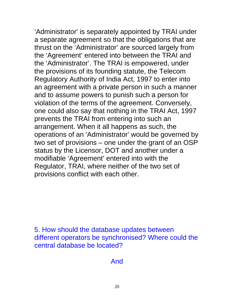'Administrator' is separately appointed by TRAI under a separate agreement so that the obligations that are thrust on the 'Administrator' are sourced largely from the 'Agreement' entered into between the TRAI and the 'Administrator'. The TRAI is empowered, under the provisions of its founding statute, the Telecom Regulatory Authority of India Act, 1997 to enter into an agreement with a private person in such a manner and to assume powers to punish such a person for violation of the terms of the agreement. Conversely, one could also say that nothing in the TRAI Act, 1997 prevents the TRAI from entering into such an arrangement. When it all happens as such, the operations of an 'Administrator' would be governed by two set of provisions – one under the grant of an OSP status by the Licensor, DOT and another under a modifiable 'Agreement' entered into with the Regulator, TRAI, where neither of the two set of provisions conflict with each other.

5. How should the database updates between different operators be synchronised? Where could the central database be located?

And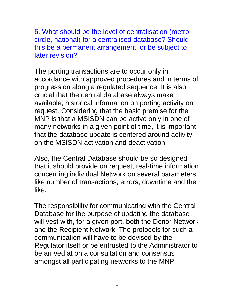6. What should be the level of centralisation (metro, circle, national) for a centralised database? Should this be a permanent arrangement, or be subject to later revision?

The porting transactions are to occur only in accordance with approved procedures and in terms of progression along a regulated sequence. It is also crucial that the central database always make available, historical information on porting activity on request. Considering that the basic premise for the MNP is that a MSISDN can be active only in one of many networks in a given point of time, it is important that the database update is centered around activity on the MSISDN activation and deactivation.

Also, the Central Database should be so designed that it should provide on request, real-time information concerning individual Network on several parameters like number of transactions, errors, downtime and the like.

The responsibility for communicating with the Central Database for the purpose of updating the database will vest with, for a given port, both the Donor Network and the Recipient Network. The protocols for such a communication will have to be devised by the Regulator itself or be entrusted to the Administrator to be arrived at on a consultation and consensus amongst all participating networks to the MNP.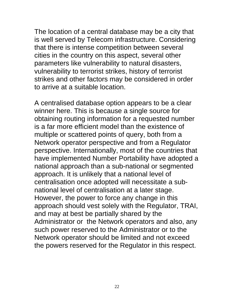The location of a central database may be a city that is well served by Telecom infrastructure. Considering that there is intense competition between several cities in the country on this aspect, several other parameters like vulnerability to natural disasters, vulnerability to terrorist strikes, history of terrorist strikes and other factors may be considered in order to arrive at a suitable location.

A centralised database option appears to be a clear winner here. This is because a single source for obtaining routing information for a requested number is a far more efficient model than the existence of multiple or scattered points of query, both from a Network operator perspective and from a Regulator perspective. Internationally, most of the countries that have implemented Number Portability have adopted a national approach than a sub-national or segmented approach. It is unlikely that a national level of centralisation once adopted will necessitate a subnational level of centralisation at a later stage. However, the power to force any change in this approach should vest solely with the Regulator, TRAI, and may at best be partially shared by the Administrator or the Network operators and also, any such power reserved to the Administrator or to the Network operator should be limited and not exceed the powers reserved for the Regulator in this respect.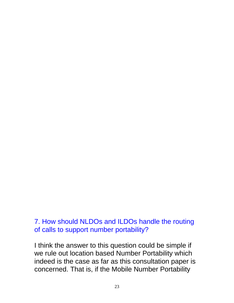## 7. How should NLDOs and ILDOs handle the routing of calls to support number portability?

I think the answer to this question could be simple if we rule out location based Number Portability which indeed is the case as far as this consultation paper is concerned. That is, if the Mobile Number Portability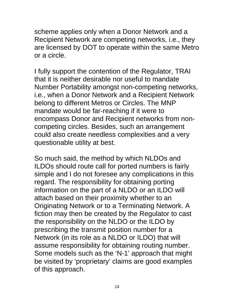scheme applies only when a Donor Network and a Recipient Network are competing networks, i.e., they are licensed by DOT to operate within the same Metro or a circle.

I fully support the contention of the Regulator, TRAI that it is neither desirable nor useful to mandate Number Portability amongst non-competing networks, i.e., when a Donor Network and a Recipient Network belong to different Metros or Circles. The MNP mandate would be far-reaching if it were to encompass Donor and Recipient networks from noncompeting circles. Besides, such an arrangement could also create needless complexities and a very questionable utility at best.

So much said, the method by which NLDOs and ILDOs should route call for ported numbers is fairly simple and I do not foresee any complications in this regard. The responsibility for obtaining porting information on the part of a NLDO or an ILDO will attach based on their proximity whether to an Originating Network or to a Terminating Network. A fiction may then be created by the Regulator to cast the responsibility on the NLDO or the ILDO by prescribing the transmit position number for a Network (in its role as a NLDO or ILDO) that will assume responsibility for obtaining routing number. Some models such as the 'N-1' approach that might be visited by 'proprietary' claims are good examples of this approach.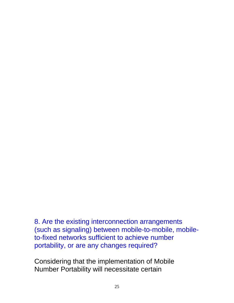8. Are the existing interconnection arrangements (such as signaling) between mobile-to-mobile, mobileto-fixed networks sufficient to achieve number portability, or are any changes required?

Considering that the implementation of Mobile Number Portability will necessitate certain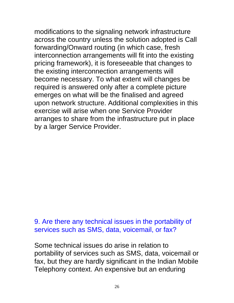modifications to the signaling network infrastructure across the country unless the solution adopted is Call forwarding/Onward routing (in which case, fresh interconnection arrangements will fit into the existing pricing framework), it is foreseeable that changes to the existing interconnection arrangements will become necessary. To what extent will changes be required is answered only after a complete picture emerges on what will be the finalised and agreed upon network structure. Additional complexities in this exercise will arise when one Service Provider arranges to share from the infrastructure put in place by a larger Service Provider.

#### 9. Are there any technical issues in the portability of services such as SMS, data, voicemail, or fax?

Some technical issues do arise in relation to portability of services such as SMS, data, voicemail or fax, but they are hardly significant in the Indian Mobile Telephony context. An expensive but an enduring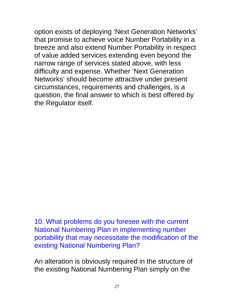option exists of deploying 'Next Generation Networks' that promise to achieve voice Number Portability in a breeze and also extend Number Portability in respect of value added services extending even beyond the narrow range of services stated above, with less difficulty and expense. Whether 'Next Generation Networks' should become attractive under present circumstances, requirements and challenges, is a question, the final answer to which is best offered by the Regulator itself.

10. What problems do you foresee with the current National Numbering Plan in implementing number portability that may necessitate the modification of the existing National Numbering Plan?

An alteration is obviously required in the structure of the existing National Numbering Plan simply on the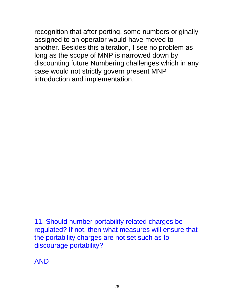recognition that after porting, some numbers originally assigned to an operator would have moved to another. Besides this alteration, I see no problem as long as the scope of MNP is narrowed down by discounting future Numbering challenges which in any case would not strictly govern present MNP introduction and implementation.

11. Should number portability related charges be regulated? If not, then what measures will ensure that the portability charges are not set such as to discourage portability?

AND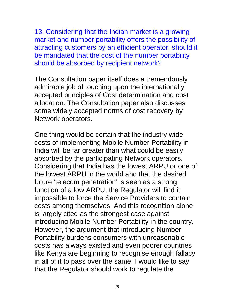13. Considering that the Indian market is a growing market and number portability offers the possibility of attracting customers by an efficient operator, should it be mandated that the cost of the number portability should be absorbed by recipient network?

The Consultation paper itself does a tremendously admirable job of touching upon the internationally accepted principles of Cost determination and cost allocation. The Consultation paper also discusses some widely accepted norms of cost recovery by Network operators.

One thing would be certain that the industry wide costs of implementing Mobile Number Portability in India will be far greater than what could be easily absorbed by the participating Network operators. Considering that India has the lowest ARPU or one of the lowest ARPU in the world and that the desired future 'telecom penetration' is seen as a strong function of a low ARPU, the Regulator will find it impossible to force the Service Providers to contain costs among themselves. And this recognition alone is largely cited as the strongest case against introducing Mobile Number Portability in the country. However, the argument that introducing Number Portability burdens consumers with unreasonable costs has always existed and even poorer countries like Kenya are beginning to recognise enough fallacy in all of it to pass over the same. I would like to say that the Regulator should work to regulate the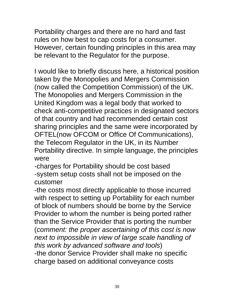Portability charges and there are no hard and fast rules on how best to cap costs for a consumer. However, certain founding principles in this area may be relevant to the Regulator for the purpose.

I would like to briefly discuss here, a historical position taken by the Monopolies and Mergers Commission (now called the Competition Commission) of the UK. The Monopolies and Mergers Commission in the United Kingdom was a legal body that worked to check anti-competitive practices in designated sectors of that country and had recommended certain cost sharing principles and the same were incorporated by OFTEL(now OFCOM or Office Of Communications), the Telecom Regulator in the UK, in its Number Portability directive. In simple language, the principles were

-charges for Portability should be cost based -system setup costs shall not be imposed on the customer

-the costs most directly applicable to those incurred with respect to setting up Portability for each number of block of numbers should be borne by the Service Provider to whom the number is being ported rather than the Service Provider that is porting the number (*comment: the proper ascertaining of this cost is now next to impossible in view of large scale handling of this work by advanced software and tools*) -the donor Service Provider shall make no specific charge based on additional conveyance costs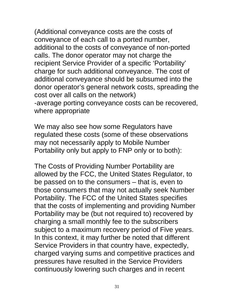(Additional conveyance costs are the costs of conveyance of each call to a ported number, additional to the costs of conveyance of non-ported calls. The donor operator may not charge the recipient Service Provider of a specific 'Portability' charge for such additional conveyance. The cost of additional conveyance should be subsumed into the donor operator's general network costs, spreading the cost over all calls on the network) -average porting conveyance costs can be recovered, where appropriate

We may also see how some Regulators have regulated these costs (some of these observations may not necessarily apply to Mobile Number Portability only but apply to FNP only or to both):

The Costs of Providing Number Portability are allowed by the FCC, the United States Regulator, to be passed on to the consumers – that is, even to those consumers that may not actually seek Number Portability. The FCC of the United States specifies that the costs of implementing and providing Number Portability may be (but not required to) recovered by charging a small monthly fee to the subscribers subject to a maximum recovery period of Five years. In this context, it may further be noted that different Service Providers in that country have, expectedly, charged varying sums and competitive practices and pressures have resulted in the Service Providers continuously lowering such charges and in recent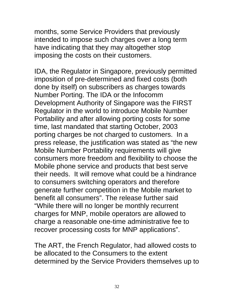months, some Service Providers that previously intended to impose such charges over a long term have indicating that they may altogether stop imposing the costs on their customers.

IDA, the Regulator in Singapore, previously permitted imposition of pre-determined and fixed costs (both done by itself) on subscribers as charges towards Number Porting. The IDA or the Infocomm Development Authority of Singapore was the FIRST Regulator in the world to introduce Mobile Number Portability and after allowing porting costs for some time, last mandated that starting October, 2003 porting charges be not charged to customers. In a press release, the justification was stated as "the new Mobile Number Portability requirements will give consumers more freedom and flexibility to choose the Mobile phone service and products that best serve their needs. It will remove what could be a hindrance to consumers switching operators and therefore generate further competition in the Mobile market to benefit all consumers". The release further said "While there will no longer be monthly recurrent charges for MNP, mobile operators are allowed to charge a reasonable one-time administrative fee to recover processing costs for MNP applications".

The ART, the French Regulator, had allowed costs to be allocated to the Consumers to the extent determined by the Service Providers themselves up to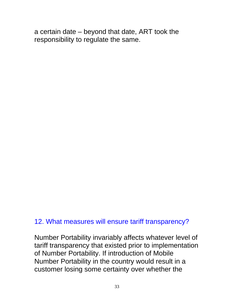a certain date – beyond that date, ART took the responsibility to regulate the same.

# 12. What measures will ensure tariff transparency?

Number Portability invariably affects whatever level of tariff transparency that existed prior to implementation of Number Portability. If introduction of Mobile Number Portability in the country would result in a customer losing some certainty over whether the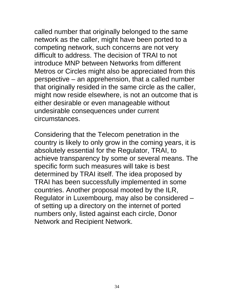called number that originally belonged to the same network as the caller, might have been ported to a competing network, such concerns are not very difficult to address. The decision of TRAI to not introduce MNP between Networks from different Metros or Circles might also be appreciated from this perspective – an apprehension, that a called number that originally resided in the same circle as the caller, might now reside elsewhere, is not an outcome that is either desirable or even manageable without undesirable consequences under current circumstances.

Considering that the Telecom penetration in the country is likely to only grow in the coming years, it is absolutely essential for the Regulator, TRAI, to achieve transparency by some or several means. The specific form such measures will take is best determined by TRAI itself. The idea proposed by TRAI has been successfully implemented in some countries. Another proposal mooted by the ILR, Regulator in Luxembourg, may also be considered – of setting up a directory on the internet of ported numbers only, listed against each circle, Donor Network and Recipient Network.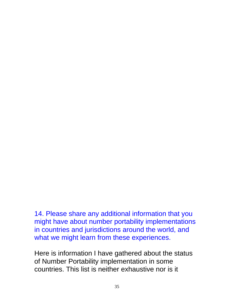14. Please share any additional information that you might have about number portability implementations in countries and jurisdictions around the world, and what we might learn from these experiences.

Here is information I have gathered about the status of Number Portability implementation in some countries. This list is neither exhaustive nor is it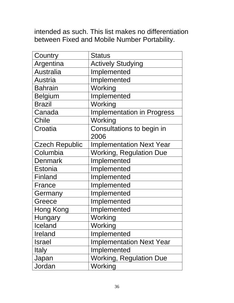intended as such. This list makes no differentiation between Fixed and Mobile Number Portability.

| Country               | <b>Status</b>                     |
|-----------------------|-----------------------------------|
| Argentina             | <b>Actively Studying</b>          |
| <b>Australia</b>      | Implemented                       |
| <b>Austria</b>        | Implemented                       |
| <b>Bahrain</b>        | Working                           |
| <b>Belgium</b>        | Implemented                       |
| <b>Brazil</b>         | Working                           |
| Canada                | <b>Implementation in Progress</b> |
| Chile                 | Working                           |
| Croatia               | Consultations to begin in<br>2006 |
| <b>Czech Republic</b> | <b>Implementation Next Year</b>   |
| Columbia              | <b>Working, Regulation Due</b>    |
| Denmark               | Implemented                       |
| Estonia               | Implemented                       |
| Finland               | Implemented                       |
| France                | Implemented                       |
| Germany               | Implemented                       |
| Greece                | Implemented                       |
| Hong Kong             | Implemented                       |
| Hungary               | Working                           |
| Iceland               | Working                           |
| Ireland               | Implemented                       |
| <b>Israel</b>         | <b>Implementation Next Year</b>   |
| <b>Italy</b>          | Implemented                       |
| Japan                 | <b>Working, Regulation Due</b>    |
| Jordan                | Working                           |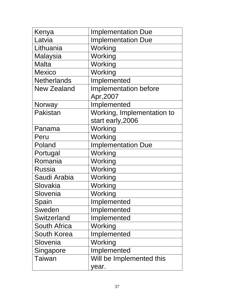| Kenya              | <b>Implementation Due</b>                       |
|--------------------|-------------------------------------------------|
| Latvia             | <b>Implementation Due</b>                       |
| Lithuania          | Working                                         |
| Malaysia           | Working                                         |
| <b>Malta</b>       | Working                                         |
| <b>Mexico</b>      | Working                                         |
| <b>Netherlands</b> | Implemented                                     |
| <b>New Zealand</b> | Implementation before<br>Apr, 2007              |
| Norway             | Implemented                                     |
| Pakistan           | Working, Implementation to<br>start early, 2006 |
| Panama             | Working                                         |
| Peru               | Working                                         |
| Poland             | <b>Implementation Due</b>                       |
| Portugal           | Working                                         |
| Romania            | Working                                         |
| Russia             | Working                                         |
| Saudi Arabia       | Working                                         |
| Slovakia           | Working                                         |
| Slovenia           | Working                                         |
| Spain              | Implemented                                     |
| Sweden             | Implemented                                     |
| Switzerland        | Implemented                                     |
| South Africa       | Working                                         |
| South Korea        | Implemented                                     |
| Slovenia           | Working                                         |
| Singapore          | Implemented                                     |
| Taiwan             | Will be Implemented this                        |
|                    | year.                                           |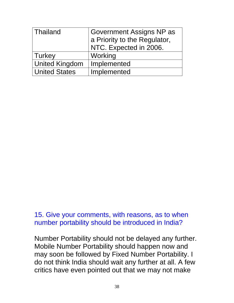| Thailand              | <b>Government Assigns NP as</b><br>a Priority to the Regulator, |
|-----------------------|-----------------------------------------------------------------|
|                       | NTC. Expected in 2006.                                          |
| Turkey                | Working                                                         |
| <b>United Kingdom</b> | Implemented                                                     |
| <b>United States</b>  | Implemented                                                     |

15. Give your comments, with reasons, as to when number portability should be introduced in India?

Number Portability should not be delayed any further. Mobile Number Portability should happen now and may soon be followed by Fixed Number Portability. I do not think India should wait any further at all. A few critics have even pointed out that we may not make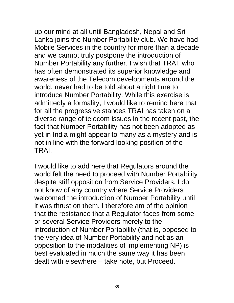up our mind at all until Bangladesh, Nepal and Sri Lanka joins the Number Portability club. We have had Mobile Services in the country for more than a decade and we cannot truly postpone the introduction of Number Portability any further. I wish that TRAI, who has often demonstrated its superior knowledge and awareness of the Telecom developments around the world, never had to be told about a right time to introduce Number Portability. While this exercise is admittedly a formality, I would like to remind here that for all the progressive stances TRAI has taken on a diverse range of telecom issues in the recent past, the fact that Number Portability has not been adopted as yet in India might appear to many as a mystery and is not in line with the forward looking position of the TRAI.

I would like to add here that Regulators around the world felt the need to proceed with Number Portability despite stiff opposition from Service Providers. I do not know of any country where Service Providers welcomed the introduction of Number Portability until it was thrust on them. I therefore am of the opinion that the resistance that a Regulator faces from some or several Service Providers merely to the introduction of Number Portability (that is, opposed to the very idea of Number Portability and not as an opposition to the modalities of implementing NP) is best evaluated in much the same way it has been dealt with elsewhere – take note, but Proceed.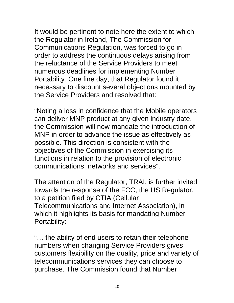It would be pertinent to note here the extent to which the Regulator in Ireland, The Commission for Communications Regulation, was forced to go in order to address the continuous delays arising from the reluctance of the Service Providers to meet numerous deadlines for implementing Number Portability. One fine day, that Regulator found it necessary to discount several objections mounted by the Service Providers and resolved that:

"Noting a loss in confidence that the Mobile operators can deliver MNP product at any given industry date, the Commission will now mandate the introduction of MNP in order to advance the issue as effectively as possible. This direction is consistent with the objectives of the Commission in exercising its functions in relation to the provision of electronic communications, networks and services".

The attention of the Regulator, TRAI, is further invited towards the response of the FCC, the US Regulator, to a petition filed by CTIA (Cellular Telecommunications and Internet Association), in which it highlights its basis for mandating Number Portability:

"… the ability of end users to retain their telephone numbers when changing Service Providers gives customers flexibility on the quality, price and variety of telecommunications services they can choose to purchase. The Commission found that Number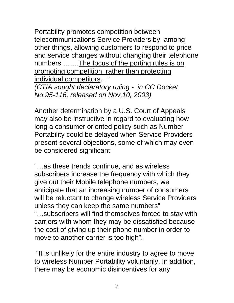Portability promotes competition between telecommunications Service Providers by, among other things, allowing customers to respond to price and service changes without changing their telephone numbers .......The focus of the porting rules is on promoting competition, rather than protecting individual competitors…"

*(CTIA sought declaratory ruling - in CC Docket No.95-116, released on Nov.10, 2003)* 

Another determination by a U.S. Court of Appeals may also be instructive in regard to evaluating how long a consumer oriented policy such as Number Portability could be delayed when Service Providers present several objections, some of which may even be considered significant:

"…as these trends continue, and as wireless subscribers increase the frequency with which they give out their Mobile telephone numbers, we anticipate that an increasing number of consumers will be reluctant to change wireless Service Providers unless they can keep the same numbers" "…subscribers will find themselves forced to stay with carriers with whom they may be dissatisfied because the cost of giving up their phone number in order to move to another carrier is too high".

 "It is unlikely for the entire industry to agree to move to wireless Number Portability voluntarily. In addition, there may be economic disincentives for any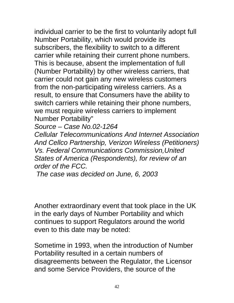individual carrier to be the first to voluntarily adopt full Number Portability, which would provide its subscribers, the flexibility to switch to a different carrier while retaining their current phone numbers. This is because, absent the implementation of full (Number Portability) by other wireless carriers, that carrier could not gain any new wireless customers from the non-participating wireless carriers. As a result, to ensure that Consumers have the ability to switch carriers while retaining their phone numbers, we must require wireless carriers to implement Number Portability"

*Source – Case No.02-1264* 

*Cellular Telecommunications And Internet Association And Cellco Partnership, Verizon Wireless (Petitioners) Vs. Federal Communications Commission,United States of America (Respondents), for review of an order of the FCC.* 

 *The case was decided on June, 6, 2003* 

Another extraordinary event that took place in the UK in the early days of Number Portability and which continues to support Regulators around the world even to this date may be noted:

Sometime in 1993, when the introduction of Number Portability resulted in a certain numbers of disagreements between the Regulator, the Licensor and some Service Providers, the source of the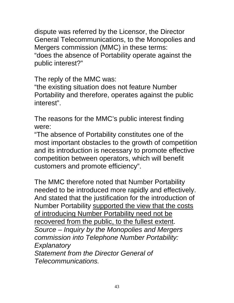dispute was referred by the Licensor, the Director General Telecommunications, to the Monopolies and Mergers commission (MMC) in these terms: "does the absence of Portability operate against the public interest?"

The reply of the MMC was:

"the existing situation does not feature Number Portability and therefore, operates against the public interest".

The reasons for the MMC's public interest finding were:

"The absence of Portability constitutes one of the most important obstacles to the growth of competition and its introduction is necessary to promote effective competition between operators, which will benefit customers and promote efficiency".

The MMC therefore noted that Number Portability needed to be introduced more rapidly and effectively. And stated that the justification for the introduction of Number Portability supported the view that the costs of introducing Number Portability need not be recovered from the public, to the fullest extent. *Source – Inquiry by the Monopolies and Mergers commission into Telephone Number Portability: Explanatory Statement from the Director General of Telecommunications.*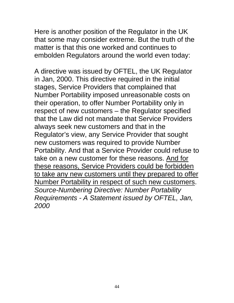Here is another position of the Regulator in the UK that some may consider extreme. But the truth of the matter is that this one worked and continues to embolden Regulators around the world even today:

A directive was issued by OFTEL, the UK Regulator in Jan, 2000. This directive required in the initial stages, Service Providers that complained that Number Portability imposed unreasonable costs on their operation, to offer Number Portability only in respect of new customers – the Regulator specified that the Law did not mandate that Service Providers always seek new customers and that in the Regulator's view, any Service Provider that sought new customers was required to provide Number Portability. And that a Service Provider could refuse to take on a new customer for these reasons. And for these reasons, Service Providers could be forbidden to take any new customers until they prepared to offer Number Portability in respect of such new customers. *Source-Numbering Directive: Number Portability Requirements - A Statement issued by OFTEL, Jan, 2000*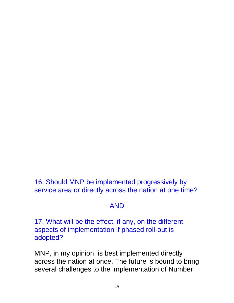16. Should MNP be implemented progressively by service area or directly across the nation at one time?

# AND

17. What will be the effect, if any, on the different aspects of implementation if phased roll-out is adopted?

MNP, in my opinion, is best implemented directly across the nation at once. The future is bound to bring several challenges to the implementation of Number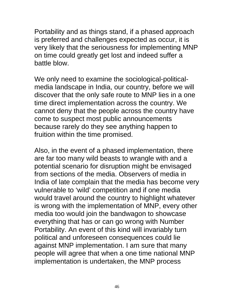Portability and as things stand, if a phased approach is preferred and challenges expected as occur, it is very likely that the seriousness for implementing MNP on time could greatly get lost and indeed suffer a battle blow.

We only need to examine the sociological-politicalmedia landscape in India, our country, before we will discover that the only safe route to MNP lies in a one time direct implementation across the country. We cannot deny that the people across the country have come to suspect most public announcements because rarely do they see anything happen to fruition within the time promised.

Also, in the event of a phased implementation, there are far too many wild beasts to wrangle with and a potential scenario for disruption might be envisaged from sections of the media. Observers of media in India of late complain that the media has become very vulnerable to 'wild' competition and if one media would travel around the country to highlight whatever is wrong with the implementation of MNP, every other media too would join the bandwagon to showcase everything that has or can go wrong with Number Portability. An event of this kind will invariably turn political and unforeseen consequences could lie against MNP implementation. I am sure that many people will agree that when a one time national MNP implementation is undertaken, the MNP process